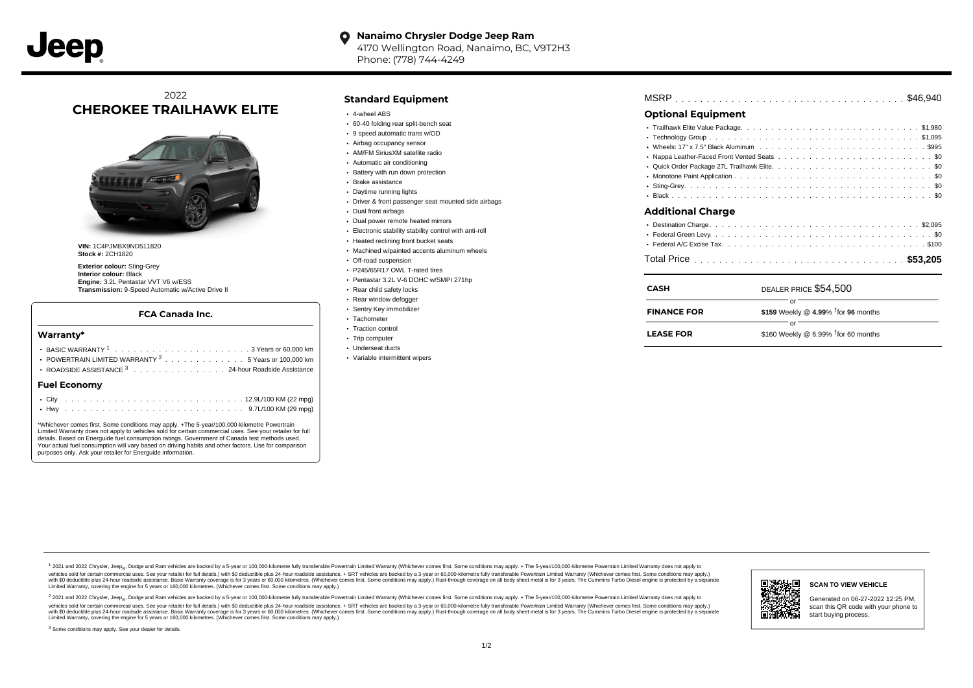#### **Nanaimo Chrysler Dodge Jeep Ram**  $\bullet$ 4170 Wellington Road, Nanaimo, BC, V9T2H3 Phone: (778) 744-4249

# 2022 **CHEROKEE TRAILHAWK ELITE**



**VIN:** 1C4PJMBX9ND511820 **Stock #:** 2CH1820

**Exterior colour:** Sting-Grey **Interior colour:** Black **Engine:** 3.2L Pentastar VVT V6 w/ESS **Transmission:** 9-Speed Automatic w/Active Drive II

## **FCA Canada Inc.**

#### **Warranty\***

| <b>Fuel Economy</b>                                            |  |  |  |  |  |  |
|----------------------------------------------------------------|--|--|--|--|--|--|
| ROADSIDE ASSISTANCE 3 24-hour Roadside Assistance              |  |  |  |  |  |  |
| POWERTRAIN LIMITED WARRANTY <sup>2</sup> 5 Years or 100,000 km |  |  |  |  |  |  |
|                                                                |  |  |  |  |  |  |
|                                                                |  |  |  |  |  |  |

\*Whichever comes first. Some conditions may apply. +The 5-year/100,000-kilometre Powertrain Limited Warranty does not apply to vehicles sold for certain commercial uses. See your retailer for full details. Based on Energuide fuel consumption ratings. Government of Canada test methods used. Your actual fuel consumption will vary based on driving habits and other factors. Use for comparison purposes only. Ask your retailer for Energuide information.

## **Standard Equipment**

- 4-wheel ABS
- 60-40 folding rear split-bench seat
- 9 speed automatic trans w/OD
- Airbag occupancy sensor AM/FM SiriusXM satellite radio
- Automatic air conditioning
- 
- Battery with run down protection Brake assistance
- Daytime running lights
- 
- Driver & front passenger seat mounted side airbags
- Dual front airbags
- Dual power remote heated mirrors
- Electronic stability stability control with anti-roll
- Heated reclining front bucket seats
- Machined w/painted accents aluminum wheels
- Off-road suspension
- P245/65R17 OWL T-rated tires
- Pentastar 3.2L V-6 DOHC w/SMPI 271hp
- Rear child safety locks
- Rear window defogger
- Sentry Key immobilizer Tachometer
- Traction control
- Trip computer
- Underseat ducts
- Variable intermittent wipers

| MSRP |  |  |  |  |  |  |  |  |  |  |  |  |  |  |  |  |  |  |  |  |  |  |  |  |  |  |  |  |  |  |  |  |  |  |  |  |  |  |  |  |  |
|------|--|--|--|--|--|--|--|--|--|--|--|--|--|--|--|--|--|--|--|--|--|--|--|--|--|--|--|--|--|--|--|--|--|--|--|--|--|--|--|--|--|
|------|--|--|--|--|--|--|--|--|--|--|--|--|--|--|--|--|--|--|--|--|--|--|--|--|--|--|--|--|--|--|--|--|--|--|--|--|--|--|--|--|--|

# **Optional Equipment**

| Additional Charge |  |  |  |  |  |  |  |  |  |
|-------------------|--|--|--|--|--|--|--|--|--|

. . . . . . . . . . . . . . . . . . . . . . . . . . . . . . . . . . . . . . . . . . . . . . Total Price **\$53,205**

| <b>CASH</b>        | DEALER PRICE \$54,500                        |
|--------------------|----------------------------------------------|
| <b>FINANCE FOR</b> | \$159 Weekly @ 4.99% $\dagger$ for 96 months |
| <b>LEASE FOR</b>   | \$160 Weekly @ 6.99% $†$ for 60 months       |

1 2021 and 2022 Chrysler, Jeep<sub>en</sub> Dodge and Ram vehicles are backed by a 5-year or 100,000-kilometre fully transferable Powertrain Limited Warranty (Whichever comes first. Some conditions may apply. + The 5-year/100,000-k vehicles sold for certain commercial uses. See your retailer for full details.) with \$0 deductible plus 24-hour roadside assistance. + SRT vehicles are backed by a 3-year or 60,000-kilometre fully transferable Powertrain L versus and contract the mean of the contract of the contract with a contract with a contract the contract of the search of the contract and a control of the contract and contract and control of the search of the search of Limited Warranty, covering the engine for 5 years or 160,000 kilometres. (Whichever comes first. Some conditions may apply.)

<sup>2</sup> 2021 and 2022 Chrysler, Jeep<sub>®</sub>, Dodge and Ram vehicles are backed by a 5-year or 100,000-kilometre fully transferable Powertrain Limited Warranty (Whichever comes first. Some conditions may apply. + The 5-year/100,000 vehicles sold for certain commercial uses. See your retailer for full details.) with SO deductible plus 24-hour roadside assistance. + SRT vehicles are backed by a 3-year or 60.000-kilometre fully transferable Powertrain L with S0 deductible plus 24-hour roadside assistance. Basic Warranty coverage is for 3 years or 60,000 kilometres. (Whichever comes first. Some conditions may apply.) Rust-through coverage on all body sheet metal is for 3 y



### **SCAN TO VIEW VEHICLE**

Generated on 06-27-2022 12:25 PM, scan this QR code with your phone to start buying process.

<sup>3</sup> Some conditions may apply. See your dealer for details.